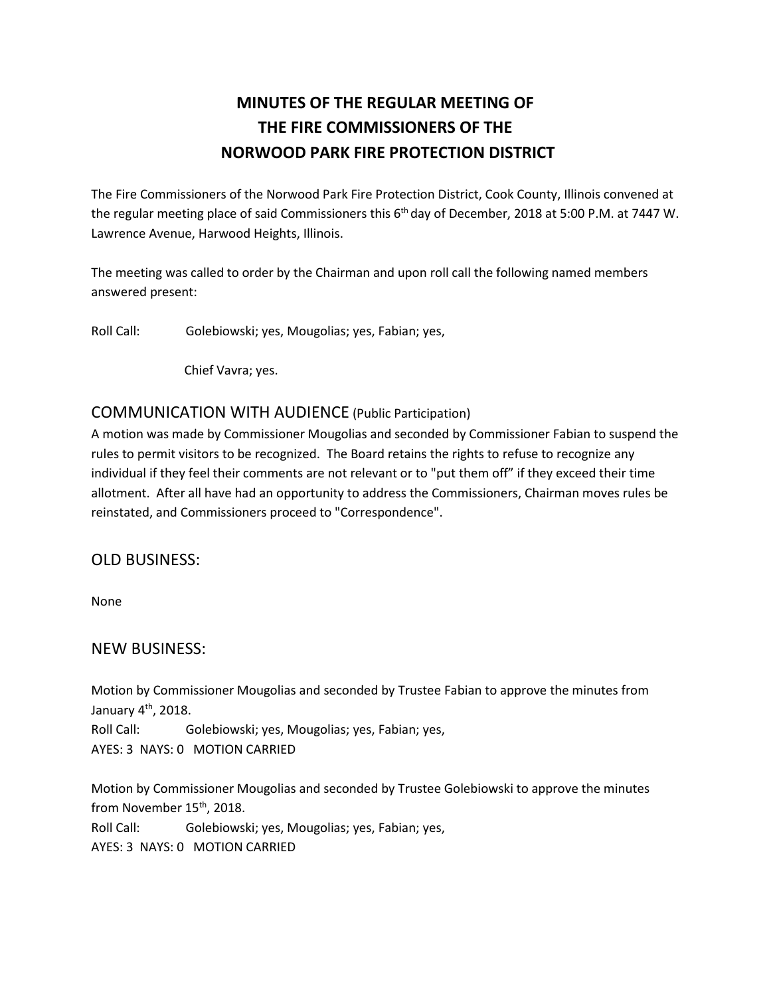# **MINUTES OF THE REGULAR MEETING OF THE FIRE COMMISSIONERS OF THE NORWOOD PARK FIRE PROTECTION DISTRICT**

The Fire Commissioners of the Norwood Park Fire Protection District, Cook County, Illinois convened at the regular meeting place of said Commissioners this 6<sup>th</sup> day of December, 2018 at 5:00 P.M. at 7447 W. Lawrence Avenue, Harwood Heights, Illinois.

The meeting was called to order by the Chairman and upon roll call the following named members answered present:

Roll Call: Golebiowski; yes, Mougolias; yes, Fabian; yes,

Chief Vavra; yes.

### COMMUNICATION WITH AUDIENCE (Public Participation)

A motion was made by Commissioner Mougolias and seconded by Commissioner Fabian to suspend the rules to permit visitors to be recognized. The Board retains the rights to refuse to recognize any individual if they feel their comments are not relevant or to "put them off" if they exceed their time allotment. After all have had an opportunity to address the Commissioners, Chairman moves rules be reinstated, and Commissioners proceed to "Correspondence".

### OLD BUSINESS:

None

### NEW BUSINESS:

Motion by Commissioner Mougolias and seconded by Trustee Fabian to approve the minutes from January 4<sup>th</sup>, 2018.

Roll Call: Golebiowski; yes, Mougolias; yes, Fabian; yes,

AYES: 3 NAYS: 0 MOTION CARRIED

Motion by Commissioner Mougolias and seconded by Trustee Golebiowski to approve the minutes from November 15<sup>th</sup>, 2018. Roll Call: Golebiowski; yes, Mougolias; yes, Fabian; yes,

AYES: 3 NAYS: 0 MOTION CARRIED